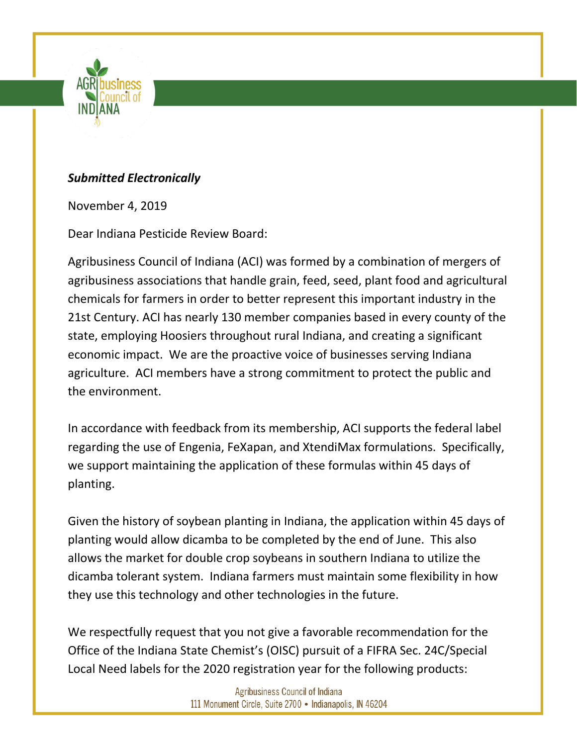

## *Submitted Electronically*

November 4, 2019

Dear Indiana Pesticide Review Board:

Agribusiness Council of Indiana (ACI) was formed by a combination of mergers of agribusiness associations that handle grain, feed, seed, plant food and agricultural chemicals for farmers in order to better represent this important industry in the 21st Century. ACI has nearly 130 member companies based in every county of the state, employing Hoosiers throughout rural Indiana, and creating a significant economic impact. We are the proactive voice of businesses serving Indiana agriculture. ACI members have a strong commitment to protect the public and the environment.

In accordance with feedback from its membership, ACI supports the federal label regarding the use of Engenia, FeXapan, and XtendiMax formulations. Specifically, we support maintaining the application of these formulas within 45 days of planting.

Given the history of soybean planting in Indiana, the application within 45 days of planting would allow dicamba to be completed by the end of June. This also allows the market for double crop soybeans in southern Indiana to utilize the dicamba tolerant system. Indiana farmers must maintain some flexibility in how they use this technology and other technologies in the future.

We respectfully request that you not give a favorable recommendation for the Office of the Indiana State Chemist's (OISC) pursuit of a FIFRA Sec. 24C/Special Local Need labels for the 2020 registration year for the following products:

> Agribusiness Council of Indiana 111 Monument Circle, Suite 2700 • Indianapolis, IN 46204